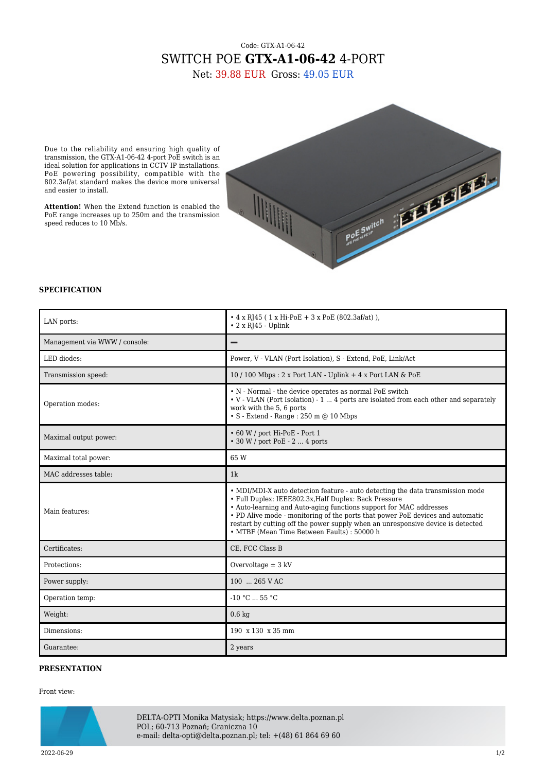## Code: GTX-A1-06-42 SWITCH POE **GTX-A1-06-42** 4-PORT

Net: 39.88 EUR Gross: 49.05 EUR

Due to the reliability and ensuring high quality of transmission, the GTX-A1-06-42 4-port PoE switch is an ideal solution for applications in CCTV IP installations. PoE powering possibility, compatible with the 802.3af/at standard makes the device more universal and easier to install.

**Attention!** When the Extend function is enabled the PoE range increases up to 250m and the transmission speed reduces to 10 Mb/s.



## **SPECIFICATION**

| LAN ports:                    | • $4 \times$ RJ45 (1 x Hi-PoE + 3 x PoE (802.3af/at)),<br>$\cdot$ 2 x RJ45 - Uplink                                                                                                                                                                                                                                                                                                                                               |
|-------------------------------|-----------------------------------------------------------------------------------------------------------------------------------------------------------------------------------------------------------------------------------------------------------------------------------------------------------------------------------------------------------------------------------------------------------------------------------|
| Management via WWW / console: |                                                                                                                                                                                                                                                                                                                                                                                                                                   |
| LED diodes:                   | Power, V - VLAN (Port Isolation), S - Extend, PoE, Link/Act                                                                                                                                                                                                                                                                                                                                                                       |
| Transmission speed:           | 10/100 Mbps: $2 \times$ Port LAN - Uplink + 4 x Port LAN & PoE                                                                                                                                                                                                                                                                                                                                                                    |
| Operation modes:              | • N - Normal - the device operates as normal PoE switch<br>• V - VLAN (Port Isolation) - 1  4 ports are isolated from each other and separately<br>work with the 5, 6 ports<br>$\bullet$ S - Extend - Range : 250 m @ 10 Mbps                                                                                                                                                                                                     |
| Maximal output power:         | • 60 W / port Hi-PoE - Port 1<br>$\cdot$ 30 W / port PoE - 2  4 ports                                                                                                                                                                                                                                                                                                                                                             |
| Maximal total power:          | 65 W                                                                                                                                                                                                                                                                                                                                                                                                                              |
| MAC addresses table:          | 1 <sub>k</sub>                                                                                                                                                                                                                                                                                                                                                                                                                    |
| Main features:                | • MDI/MDI-X auto detection feature - auto detecting the data transmission mode<br>• Full Duplex: IEEE802.3x, Half Duplex: Back Pressure<br>• Auto-learning and Auto-aging functions support for MAC addresses<br>• PD Alive mode - monitoring of the ports that power PoE devices and automatic<br>restart by cutting off the power supply when an unresponsive device is detected<br>• MTBF (Mean Time Between Faults) : 50000 h |
| Certificates:                 | CE, FCC Class B                                                                                                                                                                                                                                                                                                                                                                                                                   |
| Protections:                  | Overvoltage $\pm$ 3 kV                                                                                                                                                                                                                                                                                                                                                                                                            |
| Power supply:                 | 100  265 V AC                                                                                                                                                                                                                                                                                                                                                                                                                     |
| Operation temp:               | $-10$ °C $\ldots$ 55 °C                                                                                                                                                                                                                                                                                                                                                                                                           |
| Weight:                       | $0.6$ kg                                                                                                                                                                                                                                                                                                                                                                                                                          |
| Dimensions:                   | $190 \times 130 \times 35$ mm                                                                                                                                                                                                                                                                                                                                                                                                     |
| Guarantee:                    | 2 years                                                                                                                                                                                                                                                                                                                                                                                                                           |

## **PRESENTATION**

## Front view:



DELTA-OPTI Monika Matysiak; https://www.delta.poznan.pl POL; 60-713 Poznań; Graniczna 10 e-mail: delta-opti@delta.poznan.pl; tel: +(48) 61 864 69 60